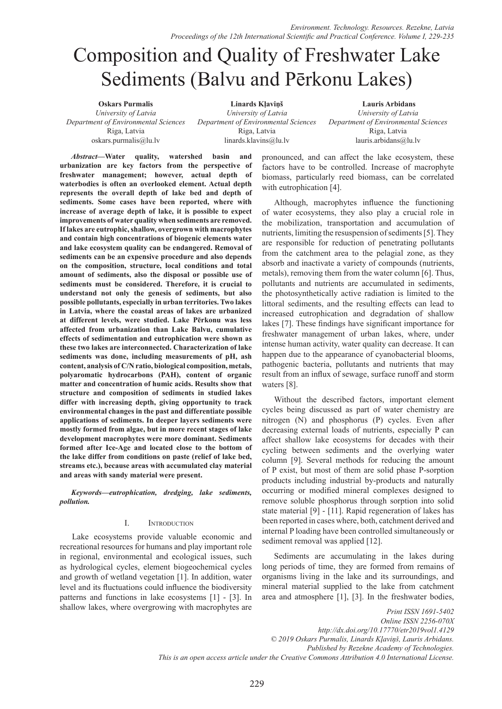# Composition and Quality of Freshwater Lake Sediments (Balvu and Pērkonu Lakes)

**Oskars Purmalis** *University of Latvia Department of Environmental Sciences* Riga, Latvia oskars.purmalis@lu.lv

**Linards Kļaviņš** *University of Latvia Department of Environmental Sciences* Riga, Latvia linards.klavins@lu.lv

 **Lauris Arbidans** *University of Latvia Department of Environmental Sciences* Riga, Latvia lauris.arbidans@lu.lv

*Abstract***—Water quality, watershed basin and urbanization are key factors from the perspective of freshwater management; however, actual depth of waterbodies is often an overlooked element. Actual depth represents the overall depth of lake bed and depth of sediments. Some cases have been reported, where with increase of average depth of lake, it is possible to expect improvements of water quality when sediments are removed. If lakes are eutrophic, shallow, overgrown with macrophytes and contain high concentrations of biogenic elements water and lake ecosystem quality can be endangered. Removal of sediments can be an expensive procedure and also depends on the composition, structure, local conditions and total amount of sediments, also the disposal or possible use of sediments must be considered. Therefore, it is crucial to understand not only the genesis of sediments, but also possible pollutants, especially in urban territories. Two lakes in Latvia, where the coastal areas of lakes are urbanized at different levels, were studied. Lake Pērkonu was less affected from urbanization than Lake Balvu, cumulative effects of sedimentation and eutrophication were shown as these two lakes are interconnected. Characterization of lake sediments was done, including measurements of pH, ash content, analysis of C/N ratio, biological composition, metals, polyaromatic hydrocarbons (PAH), content of organic matter and concentration of humic acids. Results show that structure and composition of sediments in studied lakes differ with increasing depth, giving opportunity to track environmental changes in the past and differentiate possible applications of sediments. In deeper layers sediments were mostly formed from algae, but in more recent stages of lake development macrophytes were more dominant. Sediments formed after Ice-Age and located close to the bottom of the lake differ from conditions on paste (relief of lake bed, streams etc.), because areas with accumulated clay material and areas with sandy material were present.** 

*Keywords—eutrophication, dredging, lake sediments, pollution.*

## I. Introduction

Lake ecosystems provide valuable economic and recreational resources for humans and play important role in regional, environmental and ecological issues, such as hydrological cycles, element biogeochemical cycles and growth of wetland vegetation [1]. In addition, water level and its fluctuations could influence the biodiversity patterns and functions in lake ecosystems [1] - [3]. In shallow lakes, where overgrowing with macrophytes are

pronounced, and can affect the lake ecosystem, these factors have to be controlled. Increase of macrophyte biomass, particularly reed biomass, can be correlated with eutrophication [4].

Although, macrophytes influence the functioning of water ecosystems, they also play a crucial role in the mobilization, transportation and accumulation of nutrients, limiting the resuspension of sediments [5]. They are responsible for reduction of penetrating pollutants from the catchment area to the pelagial zone, as they absorb and inactivate a variety of compounds (nutrients, metals), removing them from the water column [6]. Thus, pollutants and nutrients are accumulated in sediments, the photosynthetically active radiation is limited to the littoral sediments, and the resulting effects can lead to increased eutrophication and degradation of shallow lakes [7]. These findings have significant importance for freshwater management of urban lakes, where, under intense human activity, water quality can decrease. It can happen due to the appearance of cyanobacterial blooms, pathogenic bacteria, pollutants and nutrients that may result from an influx of sewage, surface runoff and storm waters [8].

Without the described factors, important element cycles being discussed as part of water chemistry are nitrogen (N) and phosphorus (P) cycles. Even after decreasing external loads of nutrients, especially P can affect shallow lake ecosystems for decades with their cycling between sediments and the overlying water column [9]. Several methods for reducing the amount of P exist, but most of them are solid phase P-sorption products including industrial by-products and naturally occurring or modified mineral complexes designed to remove soluble phosphorus through sorption into solid state material [9] - [11]. Rapid regeneration of lakes has been reported in cases where, both, catchment derived and internal P loading have been controlled simultaneously or sediment removal was applied [12].

Sediments are accumulating in the lakes during long periods of time, they are formed from remains of organisms living in the lake and its surroundings, and mineral material supplied to the lake from catchment area and atmosphere [1], [3]. In the freshwater bodies,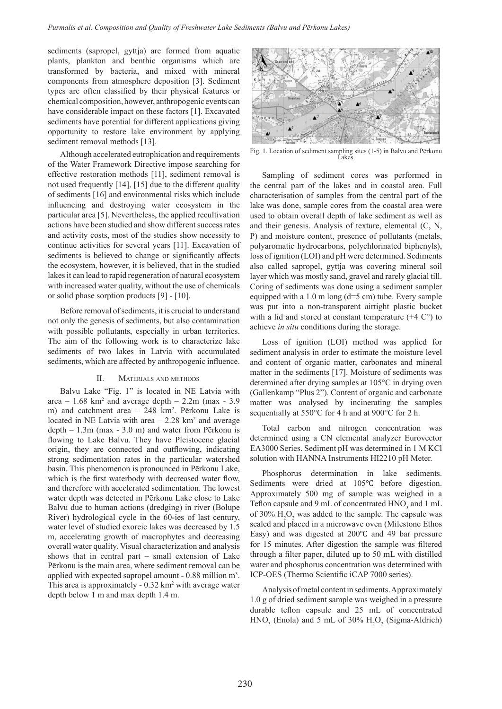sediments (sapropel, gyttja) are formed from aquatic plants, plankton and benthic organisms which are transformed by bacteria, and mixed with mineral components from atmosphere deposition [3]. Sediment types are often classified by their physical features or chemical composition, however, anthropogenic events can have considerable impact on these factors [1]. Excavated sediments have potential for different applications giving opportunity to restore lake environment by applying sediment removal methods [13].

Although accelerated eutrophication and requirements of the Water Framework Directive impose searching for effective restoration methods [11], sediment removal is not used frequently [14], [15] due to the different quality of sediments [16] and environmental risks which include influencing and destroying water ecosystem in the particular area [5]. Nevertheless, the applied recultivation actions have been studied and show different success rates and activity costs, most of the studies show necessity to continue activities for several years [11]. Excavation of sediments is believed to change or significantly affects the ecosystem, however, it is believed, that in the studied lakes it can lead to rapid regeneration of natural ecosystem with increased water quality, without the use of chemicals or solid phase sorption products [9] - [10].

Before removal of sediments, it is crucial to understand not only the genesis of sediments, but also contamination with possible pollutants, especially in urban territories. The aim of the following work is to characterize lake sediments of two lakes in Latvia with accumulated sediments, which are affected by anthropogenic influence.

#### II. Materials and methods

Balvu Lake "Fig. 1" is located in NE Latvia with area –  $1.68 \text{ km}^2$  and average depth –  $2.2 \text{m}$  (max -  $3.9 \text{ m}$ m) and catchment area – 248 km<sup>2</sup>. Pērkonu Lake is located in NE Latvia with area  $-2.28 \text{ km}^2$  and average depth – 1.3m (max - 3.0 m) and water from Pērkonu is flowing to Lake Balvu. They have Pleistocene glacial origin, they are connected and outflowing, indicating strong sedimentation rates in the particular watershed basin. This phenomenon is pronounced in Pērkonu Lake, which is the first waterbody with decreased water flow, and therefore with accelerated sedimentation. The lowest water depth was detected in Pērkonu Lake close to Lake Balvu due to human actions (dredging) in river (Bolupe River) hydrological cycle in the 60-ies of last century, water level of studied exoreic lakes was decreased by 1.5 m, accelerating growth of macrophytes and decreasing overall water quality. Visual characterization and analysis shows that in central part – small extension of Lake Pērkonu is the main area, where sediment removal can be applied with expected sapropel amount - 0.88 million m<sup>3</sup>. This area is approximately  $-0.32 \text{ km}^2$  with average water depth below 1 m and max depth 1.4 m.



Fig. 1. Location of sediment sampling sites (1-5) in Balvu and Pērkonu Lakes.

Sampling of sediment cores was performed in the central part of the lakes and in coastal area. Full characterisation of samples from the central part of the lake was done, sample cores from the coastal area were used to obtain overall depth of lake sediment as well as and their genesis. Analysis of texture, elemental (C, N, P) and moisture content, presence of pollutants (metals, polyaromatic hydrocarbons, polychlorinated biphenyls), loss of ignition (LOI) and pH were determined. Sediments also called sapropel, gyttja was covering mineral soil layer which was mostly sand, gravel and rarely glacial till. Coring of sediments was done using a sediment sampler equipped with a  $1.0$  m long ( $d=5$  cm) tube. Every sample was put into a non-transparent airtight plastic bucket with a lid and stored at constant temperature  $(+4 \degree C)$  to achieve *in situ* conditions during the storage.

Loss of ignition (LOI) method was applied for sediment analysis in order to estimate the moisture level and content of organic matter, carbonates and mineral matter in the sediments [17]. Moisture of sediments was determined after drying samples at 105°C in drying oven (Gallenkamp "Plus 2"). Content of organic and carbonate matter was analysed by incinerating the samples sequentially at 550°C for 4 h and at 900°C for 2 h.

Total carbon and nitrogen concentration was determined using a CN elemental analyzer Eurovector EA3000 Series. Sediment pH was determined in 1 M KCl solution with HANNA Instruments HI2210 pH Meter.

Phosphorus determination in lake sediments. Sediments were dried at 105℃ before digestion. Approximately 500 mg of sample was weighed in a Teflon capsule and 9 mL of concentrated  $HNO<sub>3</sub>$  and 1 mL of 30%  $H_2O_2$  was added to the sample. The capsule was sealed and placed in a microwave oven (Milestone Ethos Easy) and was digested at 200℃ and 49 bar pressure for 15 minutes. After digestion the sample was filtered through a filter paper, diluted up to 50 mL with distilled water and phosphorus concentration was determined with ICP-OES (Thermo Scientific iCAP 7000 series).

Analysis of metal content in sediments. Approximately 1.0 g of dried sediment sample was weighed in a pressure durable teflon capsule and 25 mL of concentrated  $HNO<sub>3</sub>$  (Enola) and 5 mL of 30%  $H<sub>2</sub>O<sub>2</sub>$  (Sigma-Aldrich)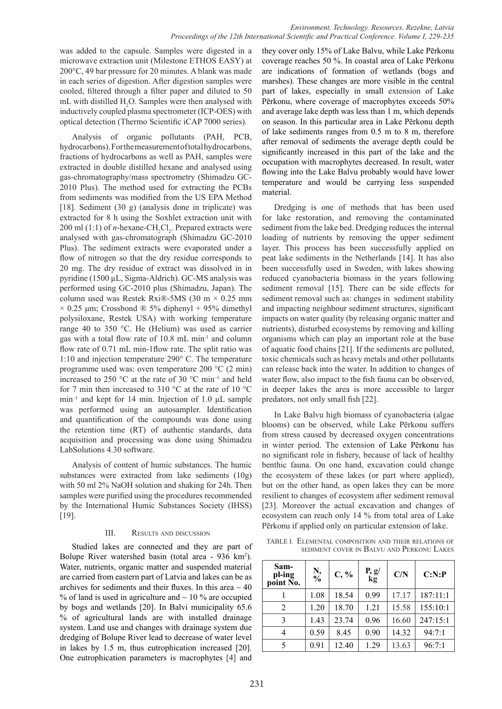was added to the capsule. Samples were digested in a microwave extraction unit (Milestone ETHOS EASY) at 200°C, 49 bar pressure for 20 minutes. A blank was made in each series of digestion. After digestion samples were cooled, filtered through a filter paper and diluted to 50 mL with distilled  $H_2O$ . Samples were then analysed with inductively coupled plasma spectrometer (ICP-OES) with optical detection (Thermo Scientific iCAP 7000 series).

Analysis of organic pollutants (PAH, PCB, hydrocarbons). For the measurement of total hydrocarbons, fractions of hydrocarbons as well as PAH, samples were extracted in double distilled hexane and analysed using gas-chromatography/mass spectrometry (Shimadzu GC-2010 Plus). The method used for extracting the PCBs from sediments was modified from the US EPA Method [18]. Sediment (30 g) (analysis done in triplicate) was extracted for 8 h using the Soxhlet extraction unit with  $200$  ml (1:1) of *n*-hexane-CH<sub>2</sub>Cl<sub>2</sub>. Prepared extracts were analysed with gas-chromatograph (Shimadzu GC-2010 Plus). The sediment extracts were evaporated under a flow of nitrogen so that the dry residue corresponds to 20 mg. The dry residue of extract was dissolved in in pyridine (1500 µL, Sigma-Aldrich). GC-MS analysis was performed using GC-2010 plus (Shimadzu, Japan). The column used was Restek Rxi®-5MS (30 m × 0.25 mm  $\times$  0.25 µm; Crossbond ® 5% diphenyl + 95% dimethyl polysiloxane, Restek USA) with working temperature range 40 to 350 °C. He (Helium) was used as carrier gas with a total flow rate of 10.8 mL min-1 and column flow rate of 0.71 mL min-1flow rate. The split ratio was 1:10 and injection temperature 290° C. The temperature programme used was: oven temperature 200 °C (2 min) increased to 250  $\degree$ C at the rate of 30  $\degree$ C min<sup>-1</sup> and held for 7 min then increased to 310  $\degree$ C at the rate of 10  $\degree$ C min<sup>-1</sup> and kept for 14 min. Injection of 1.0  $\mu$ L sample was performed using an autosampler. Identification and quantification of the compounds was done using the retention time (RT) of authentic standards, data acquisition and processing was done using Shimadzu LabSolutions 4.30 software.

Analysis of content of humic substances. The humic substances were extracted from lake sediments (10g) with 50 ml 2% NaOH solution and shaking for 24h. Then samples were purified using the procedures recommended by the International Humic Substances Society (IHSS) [19].

## III. Results and discussion

Studied lakes are connected and they are part of Bolupe River watershed basin (total area - 936 km<sup>2</sup>). Water, nutrients, organic matter and suspended material are carried from eastern part of Latvia and lakes can be as archives for sediments and their fluxes. In this area  $\sim$  40 % of land is used in agriculture and  $\sim$  10 % are occupied by bogs and wetlands [20]. In Balvi municipality 65.6 % of agricultural lands are with installed drainage system. Land use and changes with drainage system due dredging of Bolupe River lead to decrease of water level in lakes by 1.5 m, thus eutrophication increased [20]. One eutrophication parameters is macrophytes [4] and

they cover only 15% of Lake Balvu, while Lake Pērkonu coverage reaches 50 %. In coastal area of Lake Pērkonu are indications of formation of wetlands (bogs and marshes). These changes are more visible in the central part of lakes, especially in small extension of Lake Pērkonu, where coverage of macrophytes exceeds 50% and average lake depth was less than 1 m, which depends on season. In this particular area in Lake Pērkonu depth of lake sediments ranges from 0.5 m to 8 m, therefore after removal of sediments the average depth could be significantly increased in this part of the lake and the occupation with macrophytes decreased. In result, water flowing into the Lake Balvu probably would have lower temperature and would be carrying less suspended material.

Dredging is one of methods that has been used for lake restoration, and removing the contaminated sediment from the lake bed. Dredging reduces the internal loading of nutrients by removing the upper sediment layer. This process has been successfully applied on peat lake sediments in the Netherlands [14]. It has also been successfully used in Sweden, with lakes showing reduced cyanobacteria biomass in the years following sediment removal [15]. There can be side effects for sediment removal such as: changes in sediment stability and impacting neighbour sediment structures, significant impacts on water quality (by releasing organic matter and nutrients), disturbed ecosystems by removing and killing organisms which can play an important role at the base of aquatic food chains [21]. If the sediments are polluted, toxic chemicals such as heavy metals and other pollutants can release back into the water. In addition to changes of water flow, also impact to the fish fauna can be observed, in deeper lakes the area is more accessible to larger predators, not only small fish [22].

In Lake Balvu high biomass of cyanobacteria (algae blooms) can be observed, while Lake Pērkonu suffers from stress caused by decreased oxygen concentrations in winter period. The extension of Lake Pērkonu has no significant role in fishery, because of lack of healthy benthic fauna. On one hand, excavation could change the ecosystem of these lakes (or part where applied), but on the other hand, as open lakes they can be more resilient to changes of ecosystem after sediment removal [23]. Moreover the actual excavation and changes of ecosystem can reach only 14 % from total area of Lake Pērkonu if applied only on particular extension of lake.

TABLE I. Elemental composition and their relations of sediment cover in Balvu and Perkonu Lakes

| Sam-<br>pl-ing<br>point No. | $\frac{N}{\%}$ | $C, \%$ | $\frac{P}{kg}$ | C/N   | C: N:P   |
|-----------------------------|----------------|---------|----------------|-------|----------|
|                             | 1.08           | 18.54   | 0.99           | 17.17 | 187:11:1 |
| 2                           | 1.20           | 18.70   | 1.21           | 15.58 | 155:10:1 |
| 3                           | 1.43           | 23.74   | 0.96           | 16.60 | 247:15:1 |
| 4                           | 0.59           | 8.45    | 0.90           | 14.32 | 94:7:1   |
| 5                           | 0.91           | 12.40   | 1.29           | 13.63 | 96:7:1   |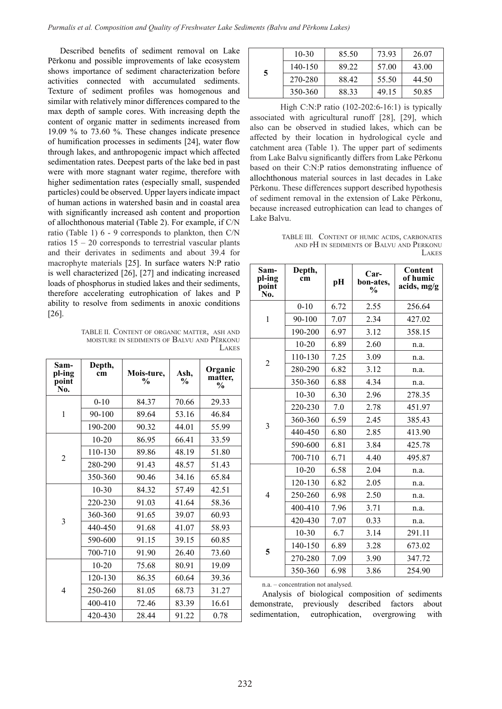Described benefits of sediment removal on Lake Pērkonu and possible improvements of lake ecosystem shows importance of sediment characterization before activities connected with accumulated sediments. Texture of sediment profiles was homogenous and similar with relatively minor differences compared to the max depth of sample cores. With increasing depth the content of organic matter in sediments increased from 19.09 % to 73.60 %. These changes indicate presence of humification processes in sediments [24], water flow through lakes, and anthropogenic impact which affected sedimentation rates. Deepest parts of the lake bed in past were with more stagnant water regime, therefore with higher sedimentation rates (especially small, suspended particles) could be observed. Upper layers indicate impact of human actions in watershed basin and in coastal area with significantly increased ash content and proportion of allochthonous material (Table 2). For example, if C/N ratio (Table 1) 6 - 9 corresponds to plankton, then C/N ratios 15 – 20 corresponds to terrestrial vascular plants and their derivates in sediments and about 39.4 for macrophyte materials [25]. In surface waters N:P ratio is well characterized [26], [27] and indicating increased loads of phosphorus in studied lakes and their sediments, therefore accelerating eutrophication of lakes and P ability to resolve from sediments in anoxic conditions [26].

TABLE II. Content of organic matter, ash and moisture in sediments of Balvu and Pērkonu Lakes

| Sam-<br>pl-ing<br>point<br>N <sub>0</sub> . | Depth,<br>cm | Mois-ture,<br>$\frac{1}{2}$ | Ash,<br>$\frac{0}{0}$ | Organic<br>matter,<br>$\frac{0}{0}$ |
|---------------------------------------------|--------------|-----------------------------|-----------------------|-------------------------------------|
|                                             | $0 - 10$     | 84.37                       | 70.66                 | 29.33                               |
| 1                                           | 90-100       | 89.64                       | 53.16                 | 46.84                               |
|                                             | 190-200      | 90.32                       | 44.01                 | 55.99                               |
|                                             | $10-20$      | 86.95                       | 66.41                 | 33.59                               |
| $\overline{2}$                              | $110 - 130$  | 89.86                       | 48.19                 | 51.80                               |
|                                             | 280-290      | 91.43                       | 48.57                 | 51.43                               |
|                                             | 350-360      | 90.46                       | 34.16                 | 65.84                               |
|                                             | $10 - 30$    | 84.32                       | 57.49                 | 42.51                               |
|                                             | 220-230      | 91.03                       | 41.64                 | 58.36                               |
| 3                                           | 360-360      | 91.65                       | 39.07                 | 60.93                               |
|                                             | 440-450      | 91.68                       | 41.07                 | 58.93                               |
|                                             | 590-600      | 91.15                       | 39.15                 | 60.85                               |
|                                             | 700-710      | 91.90                       | 26.40                 | 73.60                               |
|                                             | $10 - 20$    | 75.68                       | 80.91                 | 19.09                               |
|                                             | 120-130      | 86.35                       | 60.64                 | 39.36                               |
| $\overline{4}$                              | 250-260      | 81.05                       | 68.73                 | 31.27                               |
|                                             | 400-410      | 72.46                       | 83.39                 | 16.61                               |
|                                             | 420-430      | 28.44                       | 91.22                 | 0.78                                |

|   | $10-30$     | 85.50 | 73.93 | 26.07 |
|---|-------------|-------|-------|-------|
| 5 | $140 - 150$ | 89.22 | 57.00 | 43.00 |
|   | 270-280     | 88.42 | 55.50 | 44.50 |
|   | 350-360     | 88.33 | 49.15 | 50.85 |

High C:N:P ratio (102-202:6-16:1) is typically associated with agricultural runoff [28], [29], which also can be observed in studied lakes, which can be affected by their location in hydrological cycle and catchment area (Table 1). The upper part of sediments from Lake Balvu significantly differs from Lake Pērkonu based on their C:N:P ratios demonstrating influence of allochthonous material sources in last decades in Lake Pērkonu. These differences support described hypothesis of sediment removal in the extension of Lake Pērkonu, because increased eutrophication can lead to changes of Lake Balvu.

TABLE III. Content of humic acids, carbonates and pH in sediments of Balvu and Perkonu **LAKES** 

| Sam-<br>pl-ing<br>point<br>No. | Depth,<br>cm | pH   | $Car-$<br>bon-ates.<br>$\frac{0}{0}$ | Content<br>of humic<br>acids, mg/g |
|--------------------------------|--------------|------|--------------------------------------|------------------------------------|
|                                | $0 - 10$     | 6.72 | 2.55                                 | 256.64                             |
| $\mathbf{1}$                   | 90-100       | 7.07 | 2.34                                 | 427.02                             |
|                                | 190-200      | 6.97 | 3.12                                 | 358.15                             |
|                                | $10 - 20$    | 6.89 | 2.60                                 | n.a.                               |
|                                | 110-130      | 7.25 | 3.09                                 | n.a.                               |
| 2                              | 280-290      | 6.82 | 3.12                                 | n.a.                               |
|                                | 350-360      | 6.88 | 4.34                                 | n.a.                               |
|                                | $10 - 30$    | 6.30 | 2.96                                 | 278.35                             |
|                                | 220-230      | 7.0  | 2.78                                 | 451.97                             |
| 3                              | 360-360      | 6.59 | 2.45                                 | 385.43                             |
|                                | 440-450      | 6.80 | 2.85                                 | 413.90                             |
|                                | 590-600      | 6.81 | 3.84                                 | 425.78                             |
|                                | 700-710      | 6.71 | 4.40                                 | 495.87                             |
|                                | $10 - 20$    | 6.58 | 2.04                                 | n.a.                               |
|                                | 120-130      | 6.82 | 2.05                                 | n.a.                               |
| $\overline{4}$                 | 250-260      | 6.98 | 2.50                                 | n.a.                               |
|                                | 400-410      | 7.96 | 3.71                                 | n.a.                               |
|                                | 420-430      | 7.07 | 0.33                                 | n.a.                               |
|                                | $10 - 30$    | 6.7  | 3.14                                 | 291.11                             |
| 5                              | 140-150      | 6.89 | 3.28                                 | 673.02                             |
|                                | 270-280      | 7.09 | 3.90                                 | 347.72                             |
|                                | 350-360      | 6.98 | 3.86                                 | 254.90                             |

n.a. – concentration not analysed.

Analysis of biological composition of sediments demonstrate, previously described factors about sedimentation, eutrophication, overgrowing with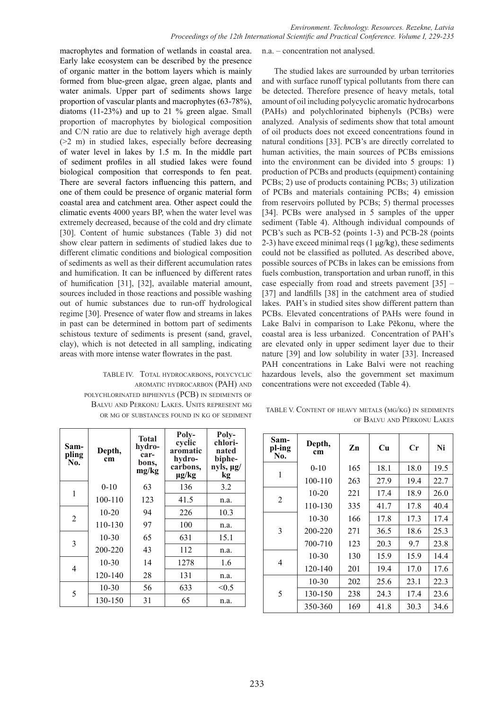macrophytes and formation of wetlands in coastal area. Early lake ecosystem can be described by the presence of organic matter in the bottom layers which is mainly formed from blue-green algae, green algae, plants and water animals. Upper part of sediments shows large proportion of vascular plants and macrophytes (63-78%), diatoms (11-23%) and up to 21 % green algae. Small proportion of macrophytes by biological composition and C/N ratio are due to relatively high average depth (>2 m) in studied lakes, especially before decreasing of water level in lakes by 1.5 m. In the middle part of sediment profiles in all studied lakes were found biological composition that corresponds to fen peat. There are several factors influencing this pattern, and one of them could be presence of organic material form coastal area and catchment area. Other aspect could the climatic events 4000 years BP, when the water level was extremely decreased, because of the cold and dry climate [30]. Content of humic substances (Table 3) did not show clear pattern in sediments of studied lakes due to different climatic conditions and biological composition of sediments as well as their different accumulation rates and humification. It can be influenced by different rates of humification [31], [32], available material amount, sources included in those reactions and possible washing out of humic substances due to run-off hydrological regime [30]. Presence of water flow and streams in lakes in past can be determined in bottom part of sediments schistous texture of sediments is present (sand, gravel, clay), which is not detected in all sampling, indicating areas with more intense water flowrates in the past.

TABLE IV. Total hydrocarbons, polycyclic aromatic hydrocarbon (PAH) and polychlorinated biphenyls (PCB) in sediments of Balvu and Perkonu Lakes. Units represent mg OR MG OF SUBSTANCES FOUND IN KG OF SEDIMENT

| Sam-<br>pling<br>No. | Depth,<br>cm | <b>Total</b><br>hydro-<br>car-<br>bons,<br>mg/kg | Poly-<br>cyclic<br>aromatic<br>hydro-<br>carbons,<br>$\mu$ g/kg | Poly-<br>chlori-<br>nated<br>biphe-<br>$ny\bar{ls}, \mu g/$<br>kg |
|----------------------|--------------|--------------------------------------------------|-----------------------------------------------------------------|-------------------------------------------------------------------|
| 1                    | $0 - 10$     | 63                                               | 136                                                             | 3.2                                                               |
|                      | 100-110      | 123                                              | 41.5                                                            | n.a.                                                              |
| $\overline{2}$       | $10 - 20$    | 94                                               | 226                                                             | 10.3                                                              |
|                      | 110-130      | 97                                               | 100                                                             | n.a.                                                              |
| 3                    | $10-30$      | 65                                               | 631                                                             | 15.1                                                              |
|                      | 200-220      | 43                                               | 112                                                             | n.a.                                                              |
| 4                    | $10 - 30$    | 14                                               | 1278                                                            | 1.6                                                               |
|                      | 120-140      | 28                                               | 131                                                             | n.a.                                                              |
| 5                    | $10 - 30$    | 56                                               | 633                                                             | < 0.5                                                             |
|                      | 130-150      | 31                                               | 65                                                              | n.a.                                                              |

n.a. – concentration not analysed.

The studied lakes are surrounded by urban territories and with surface runoff typical pollutants from there can be detected. Therefore presence of heavy metals, total amount of oil including polycyclic aromatic hydrocarbons (PAHs) and polychlorinated biphenyls (PCBs) were analyzed. Analysis of sediments show that total amount of oil products does not exceed concentrations found in natural conditions [33]. PCB's are directly correlated to human activities, the main sources of PCBs emissions into the environment can be divided into 5 groups: 1) production of PCBs and products (equipment) containing PCBs; 2) use of products containing PCBs; 3) utilization of PCBs and materials containing PCBs; 4) emission from reservoirs polluted by PCBs; 5) thermal processes [34]. PCBs were analysed in 5 samples of the upper sediment (Table 4). Although individual compounds of PCB's such as PCB-52 (points 1-3) and PCB-28 (points 2-3) have exceed minimal reqs  $(1 \mu g/kg)$ , these sediments could not be classified as polluted. As described above, possible sources of PCBs in lakes can be emissions from fuels combustion, transportation and urban runoff, in this case especially from road and streets pavement [35] – [37] and landfills [38] in the catchment area of studied lakes. PAH's in studied sites show different pattern than PCBs. Elevated concentrations of PAHs were found in Lake Balvi in comparison to Lake Pēkonu, where the coastal area is less urbanized. Concentration of PAH's are elevated only in upper sediment layer due to their nature [39] and low solubility in water [33]. Increased PAH concentrations in Lake Balvi were not reaching hazardous levels, also the government set maximum concentrations were not exceeded (Table 4).

| TABLE V. CONTENT OF HEAVY METALS (MG/KG) IN SEDIMENTS |  |                            |
|-------------------------------------------------------|--|----------------------------|
|                                                       |  | OF BALVU AND PERKONU LAKES |

| Sam-<br>pl-ing<br>No. | Depth,<br>cm | Zn  | Cu   | Cr   | Ni   |
|-----------------------|--------------|-----|------|------|------|
| 1                     | $0 - 10$     | 165 | 18.1 | 18.0 | 19.5 |
|                       | 100-110      | 263 | 27.9 | 19.4 | 22.7 |
|                       | $10 - 20$    | 221 | 17.4 | 18.9 | 26.0 |
| $\overline{2}$        | 110-130      | 335 | 41.7 | 17.8 | 40.4 |
|                       | $10 - 30$    | 166 | 17.8 | 17.3 | 17.4 |
| 3                     | 200-220      | 271 | 36.5 | 18.6 | 25.3 |
|                       | 700-710      | 123 | 20.3 | 9.7  | 23.8 |
| 4                     | $10 - 30$    | 130 | 15.9 | 15.9 | 14.4 |
|                       | 120-140      | 201 | 19.4 | 17.0 | 17.6 |
| 5                     | $10 - 30$    | 202 | 25.6 | 23.1 | 22.3 |
|                       | 130-150      | 238 | 24.3 | 17.4 | 23.6 |
|                       | 350-360      | 169 | 41.8 | 30.3 | 34.6 |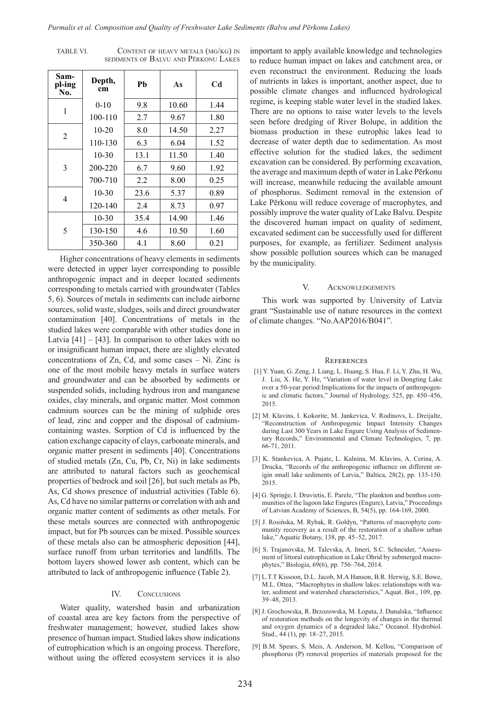| <b>TABLE VI.</b> | CONTENT OF HEAVY METALS (MG/KG) IN   |
|------------------|--------------------------------------|
|                  | SEDIMENTS OF BALVU AND PERKONU LAKES |

| Sam-<br>pl-ing<br>No. | Depth,<br>cm | Pb   | As    | C <sub>d</sub> |
|-----------------------|--------------|------|-------|----------------|
| 1                     | $0 - 10$     | 9.8  | 10.60 | 1.44           |
|                       | 100-110      | 2.7  | 9.67  | 1.80           |
|                       | $10-20$      | 8.0  | 14.50 | 2.27           |
| 2                     | 110-130      | 6.3  | 6.04  | 1.52           |
|                       | $10-30$      | 13.1 | 11.50 | 1.40           |
| 3                     | 200-220      | 6.7  | 9.60  | 1.92           |
|                       | 700-710      | 2.2  | 8.00  | 0.25           |
|                       | $10-30$      | 23.6 | 5.37  | 0.89           |
| 4                     | 120-140      | 2.4  | 8.73  | 0.97           |
| 5                     | $10-30$      | 35.4 | 14.90 | 1.46           |
|                       | 130-150      | 4.6  | 10.50 | 1.60           |
|                       | 350-360      | 4.1  | 8.60  | 0.21           |

Higher concentrations of heavy elements in sediments were detected in upper layer corresponding to possible anthropogenic impact and in deeper located sediments corresponding to metals carried with groundwater (Tables 5, 6). Sources of metals in sediments can include airborne sources, solid waste, sludges, soils and direct groundwater contamination [40]. Concentrations of metals in the studied lakes were comparable with other studies done in Latvia  $[41] - [43]$ . In comparison to other lakes with no or insignificant human impact, there are slightly elevated concentrations of Zn, Cd, and some cases – Ni. Zinc is one of the most mobile heavy metals in surface waters and groundwater and can be absorbed by sediments or suspended solids, including hydrous iron and manganese oxides, clay minerals, and organic matter. Most common cadmium sources can be the mining of sulphide ores of lead, zinc and copper and the disposal of cadmiumcontaining wastes. Sorption of Cd is influenced by the cation exchange capacity of clays, carbonate minerals, and organic matter present in sediments [40]. Concentrations of studied metals (Zn, Cu, Pb, Cr, Ni) in lake sediments are attributed to natural factors such as geochemical properties of bedrock and soil [26], but such metals as Pb, As, Cd shows presence of industrial activities (Table 6). As, Cd have no similar patterns or correlation with ash and organic matter content of sediments as other metals. For these metals sources are connected with anthropogenic impact, but for Pb sources can be mixed. Possible sources of these metals also can be atmospheric deposition [44], surface runoff from urban territories and landfills. The bottom layers showed lower ash content, which can be attributed to lack of anthropogenic influence (Table 2).

# IV. CONCLUSIONS

Water quality, watershed basin and urbanization of coastal area are key factors from the perspective of freshwater management; however, studied lakes show presence of human impact. Studied lakes show indications of eutrophication which is an ongoing process. Therefore, without using the offered ecosystem services it is also important to apply available knowledge and technologies to reduce human impact on lakes and catchment area, or even reconstruct the environment. Reducing the loads of nutrients in lakes is important, another aspect, due to possible climate changes and influenced hydrological regime, is keeping stable water level in the studied lakes. There are no options to raise water levels to the levels seen before dredging of River Bolupe, in addition the biomass production in these eutrophic lakes lead to decrease of water depth due to sedimentation. As most effective solution for the studied lakes, the sediment excavation can be considered. By performing excavation, the average and maximum depth of water in Lake Pērkonu will increase, meanwhile reducing the available amount of phosphorus. Sediment removal in the extension of Lake Pērkonu will reduce coverage of macrophytes, and possibly improve the water quality of Lake Balvu. Despite the discovered human impact on quality of sediment, excavated sediment can be successfully used for different purposes, for example, as fertilizer. Sediment analysis show possible pollution sources which can be managed by the municipality.

#### V. Acknowledgements

This work was supported by University of Latvia grant "Sustainable use of nature resources in the context of climate changes. "No.AAP2016/B041".

#### **REFERENCES**

- [1] Y. Yuan, G. Zeng, J. Liang, L. Huang, S. Hua, F. Li, Y. Zhu, H. Wu, J. Liu, X. He, Y. He, "Variation of water level in Dongting Lake over a 50-year period:Implications for the impacts of anthropogenic and climatic factors," Journal of Hydrology, 525, pp. 450–456, 2015.
- [2] M. Klavins, I. Kokorite, M. Jankevica, V. Rodinovs, L. Dreijalte, "Reconstruction of Anthropogenic Impact Intensity Changes during Last 300 Years in Lake Engure Using Analysis of Sedimentary Records," Environmental and Climate Technologies, 7, pp. 66-71, 2011.
- [3] K. Stankevica, A. Pujate, L. Kalnina, M. Klavins, A. Cerina, A. Drucka, "Records of the anthropogenic influence on different origin small lake sediments of Latvia," Baltica, 28(2), pp. 135-150. 2015.
- [4] G. Spriņģe, I. Druvietis, E. Parele, "The plankton and benthos communities of the lagoon lake Engures (Engure), Latvia," Proceedings of Latvian Academy of Sciences, B, 54(5), pp. 164-169, 2000.
- [5] J. Rosińska, M. Rybak, R. Gołdyn, "Patterns of macrophyte community recovery as a result of the restoration of a shallow urban lake," Aquatic Botany, 138, pp. 45–52, 2017.
- [6] S. Trajanovska, M. Talevska, A. Imeri, S.C. Schneider, "Assessment of littoral eutrophication in Lake Ohrid by submerged macrophytes," Biologia, 69(6), pp. 756–764, 2014.
- [7] L.T.T Kissoon, D.L. Jacob, M.A Hanson, B.R. Herwig, S.E. Bowe, M.L. Ottea, "Macrophytes in shallow lakes: relationships with water, sediment and watershed characteristics," Aquat. Bot., 109, pp. 39–48, 2013.
- [8] J. Grochowska, R. Brzozowska, M. Łopata, J. Dunalska, "Influence of restoration methods on the longevity of changes in the thermal and oxygen dynamics of a degraded lake," Oceanol. Hydrobiol. Stud., 44 (1), pp. 18–27, 2015.
- [9] B.M. Spears, S. Meis, A. Anderson, M. Kellou, "Comparison of phosphorus (P) removal properties of materials proposed for the